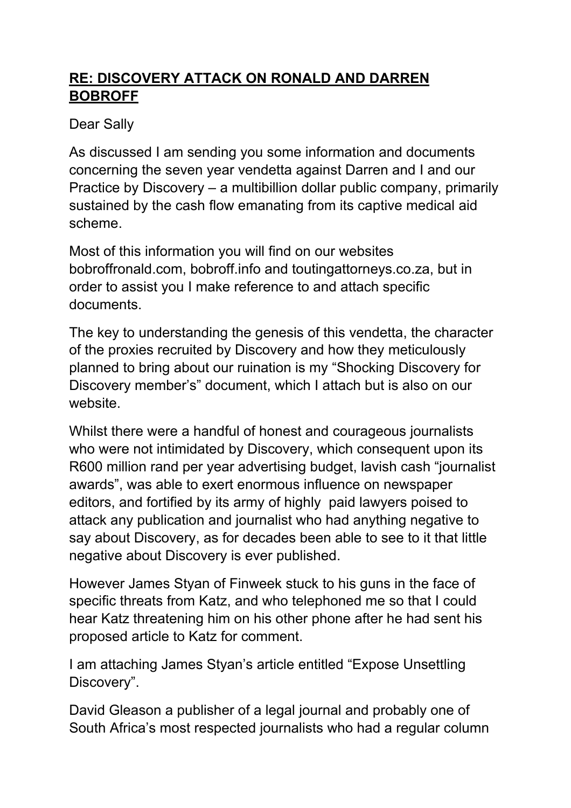## **RE: DISCOVERY ATTACK ON RONALD AND DARREN BOBROFF**

### Dear Sally

As discussed I am sending you some information and documents concerning the seven year vendetta against Darren and I and our Practice by Discovery – a multibillion dollar public company, primarily sustained by the cash flow emanating from its captive medical aid scheme.

Most of this information you will find on our websites bobroffronald.com, bobroff.info and toutingattorneys.co.za, but in order to assist you I make reference to and attach specific documents.

The key to understanding the genesis of this vendetta, the character of the proxies recruited by Discovery and how they meticulously planned to bring about our ruination is my "Shocking Discovery for Discovery member's" document, which I attach but is also on our website.

Whilst there were a handful of honest and courageous journalists who were not intimidated by Discovery, which consequent upon its R600 million rand per year advertising budget, lavish cash "journalist awards", was able to exert enormous influence on newspaper editors, and fortified by its army of highly paid lawyers poised to attack any publication and journalist who had anything negative to say about Discovery, as for decades been able to see to it that little negative about Discovery is ever published.

However James Styan of Finweek stuck to his guns in the face of specific threats from Katz, and who telephoned me so that I could hear Katz threatening him on his other phone after he had sent his proposed article to Katz for comment.

I am attaching James Styan's article entitled "Expose Unsettling Discovery".

David Gleason a publisher of a legal journal and probably one of South Africa's most respected journalists who had a regular column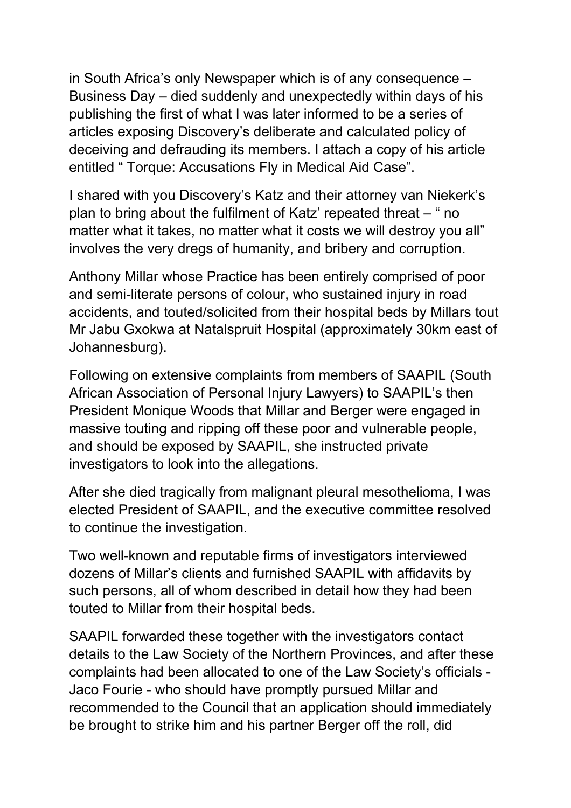in South Africa's only Newspaper which is of any consequence – Business Day – died suddenly and unexpectedly within days of his publishing the first of what I was later informed to be a series of articles exposing Discovery's deliberate and calculated policy of deceiving and defrauding its members. I attach a copy of his article entitled " Torque: Accusations Fly in Medical Aid Case".

I shared with you Discovery's Katz and their attorney van Niekerk's plan to bring about the fulfilment of Katz' repeated threat – " no matter what it takes, no matter what it costs we will destroy you all" involves the very dregs of humanity, and bribery and corruption.

Anthony Millar whose Practice has been entirely comprised of poor and semi-literate persons of colour, who sustained injury in road accidents, and touted/solicited from their hospital beds by Millars tout Mr Jabu Gxokwa at Natalspruit Hospital (approximately 30km east of Johannesburg).

Following on extensive complaints from members of SAAPIL (South African Association of Personal Injury Lawyers) to SAAPIL's then President Monique Woods that Millar and Berger were engaged in massive touting and ripping off these poor and vulnerable people, and should be exposed by SAAPIL, she instructed private investigators to look into the allegations.

After she died tragically from malignant pleural mesothelioma, I was elected President of SAAPIL, and the executive committee resolved to continue the investigation.

Two well-known and reputable firms of investigators interviewed dozens of Millar's clients and furnished SAAPIL with affidavits by such persons, all of whom described in detail how they had been touted to Millar from their hospital beds.

SAAPIL forwarded these together with the investigators contact details to the Law Society of the Northern Provinces, and after these complaints had been allocated to one of the Law Society's officials - Jaco Fourie - who should have promptly pursued Millar and recommended to the Council that an application should immediately be brought to strike him and his partner Berger off the roll, did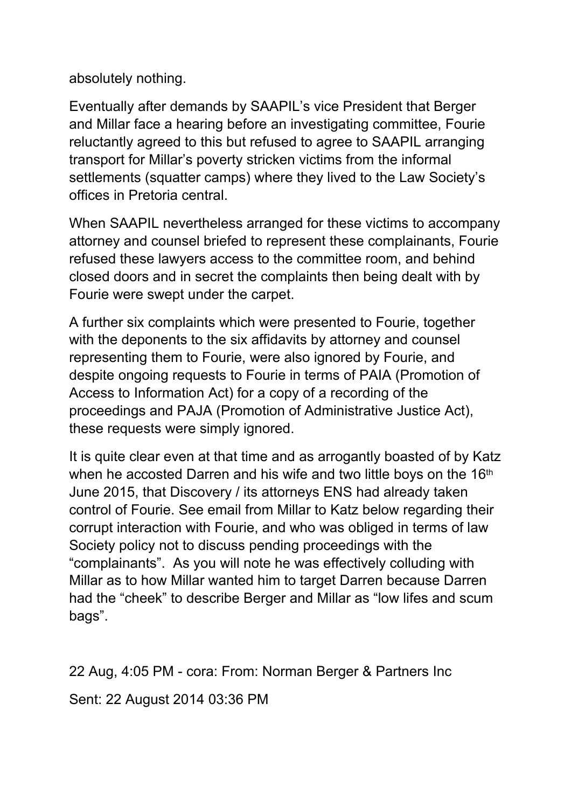absolutely nothing.

Eventually after demands by SAAPIL's vice President that Berger and Millar face a hearing before an investigating committee, Fourie reluctantly agreed to this but refused to agree to SAAPIL arranging transport for Millar's poverty stricken victims from the informal settlements (squatter camps) where they lived to the Law Society's offices in Pretoria central.

When SAAPIL nevertheless arranged for these victims to accompany attorney and counsel briefed to represent these complainants, Fourie refused these lawyers access to the committee room, and behind closed doors and in secret the complaints then being dealt with by Fourie were swept under the carpet.

A further six complaints which were presented to Fourie, together with the deponents to the six affidavits by attorney and counsel representing them to Fourie, were also ignored by Fourie, and despite ongoing requests to Fourie in terms of PAIA (Promotion of Access to Information Act) for a copy of a recording of the proceedings and PAJA (Promotion of Administrative Justice Act), these requests were simply ignored.

It is quite clear even at that time and as arrogantly boasted of by Katz when he accosted Darren and his wife and two little boys on the 16<sup>th</sup> June 2015, that Discovery / its attorneys ENS had already taken control of Fourie. See email from Millar to Katz below regarding their corrupt interaction with Fourie, and who was obliged in terms of law Society policy not to discuss pending proceedings with the "complainants". As you will note he was effectively colluding with Millar as to how Millar wanted him to target Darren because Darren had the "cheek" to describe Berger and Millar as "low lifes and scum bags".

22 Aug, 4:05 PM - cora: From: Norman Berger & Partners Inc

Sent: 22 August 2014 03:36 PM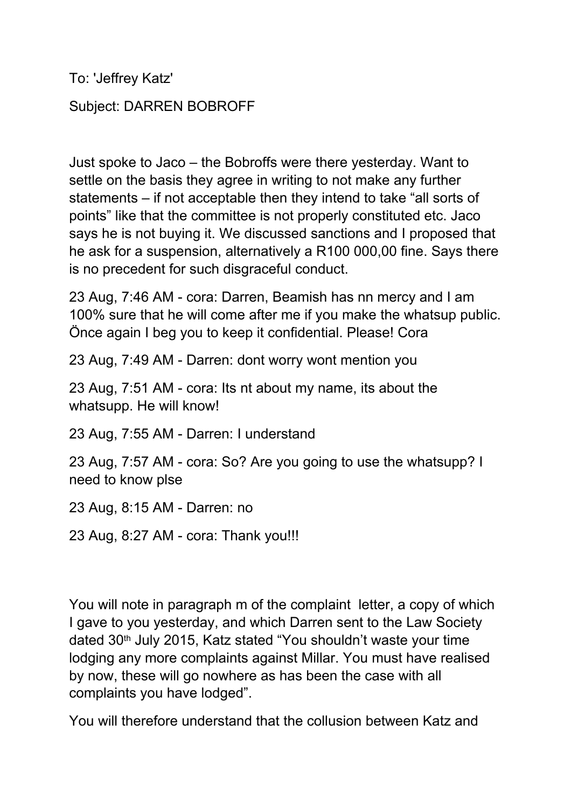To: 'Jeffrey Katz'

#### Subject: DARREN BOBROFF

Just spoke to Jaco – the Bobroffs were there yesterday. Want to settle on the basis they agree in writing to not make any further statements – if not acceptable then they intend to take "all sorts of points" like that the committee is not properly constituted etc. Jaco says he is not buying it. We discussed sanctions and I proposed that he ask for a suspension, alternatively a R100 000,00 fine. Says there is no precedent for such disgraceful conduct.

23 Aug, 7:46 AM - cora: Darren, Beamish has nn mercy and I am 100% sure that he will come after me if you make the whatsup public. Önce again I beg you to keep it confidential. Please! Cora

23 Aug, 7:49 AM - Darren: dont worry wont mention you

23 Aug, 7:51 AM - cora: Its nt about my name, its about the whatsupp. He will know!

23 Aug, 7:55 AM - Darren: I understand

23 Aug, 7:57 AM - cora: So? Are you going to use the whatsupp? I need to know plse

23 Aug, 8:15 AM - Darren: no

23 Aug, 8:27 AM - cora: Thank you!!!

You will note in paragraph m of the complaint letter, a copy of which I gave to you yesterday, and which Darren sent to the Law Society dated 30<sup>th</sup> July 2015, Katz stated "You shouldn't waste your time lodging any more complaints against Millar. You must have realised by now, these will go nowhere as has been the case with all complaints you have lodged".

You will therefore understand that the collusion between Katz and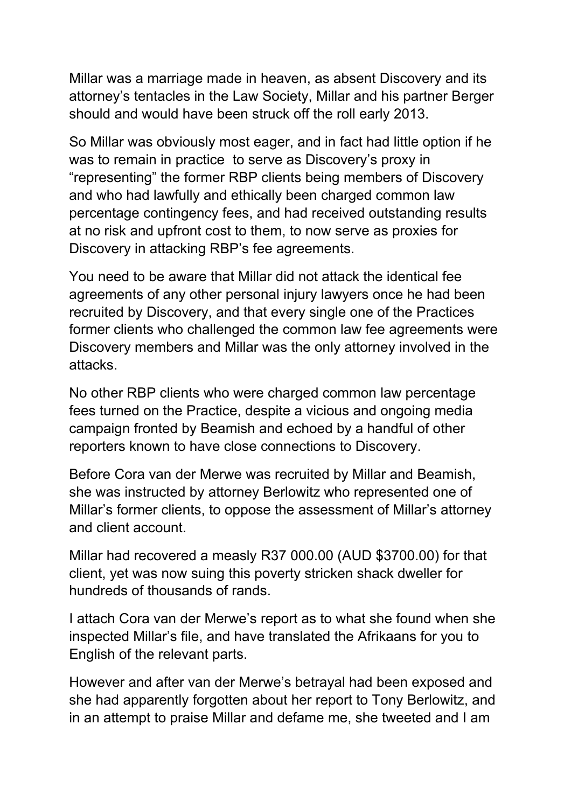Millar was a marriage made in heaven, as absent Discovery and its attorney's tentacles in the Law Society, Millar and his partner Berger should and would have been struck off the roll early 2013.

So Millar was obviously most eager, and in fact had little option if he was to remain in practice to serve as Discovery's proxy in "representing" the former RBP clients being members of Discovery and who had lawfully and ethically been charged common law percentage contingency fees, and had received outstanding results at no risk and upfront cost to them, to now serve as proxies for Discovery in attacking RBP's fee agreements.

You need to be aware that Millar did not attack the identical fee agreements of any other personal injury lawyers once he had been recruited by Discovery, and that every single one of the Practices former clients who challenged the common law fee agreements were Discovery members and Millar was the only attorney involved in the attacks.

No other RBP clients who were charged common law percentage fees turned on the Practice, despite a vicious and ongoing media campaign fronted by Beamish and echoed by a handful of other reporters known to have close connections to Discovery.

Before Cora van der Merwe was recruited by Millar and Beamish, she was instructed by attorney Berlowitz who represented one of Millar's former clients, to oppose the assessment of Millar's attorney and client account.

Millar had recovered a measly R37 000.00 (AUD \$3700.00) for that client, yet was now suing this poverty stricken shack dweller for hundreds of thousands of rands.

I attach Cora van der Merwe's report as to what she found when she inspected Millar's file, and have translated the Afrikaans for you to English of the relevant parts.

However and after van der Merwe's betrayal had been exposed and she had apparently forgotten about her report to Tony Berlowitz, and in an attempt to praise Millar and defame me, she tweeted and I am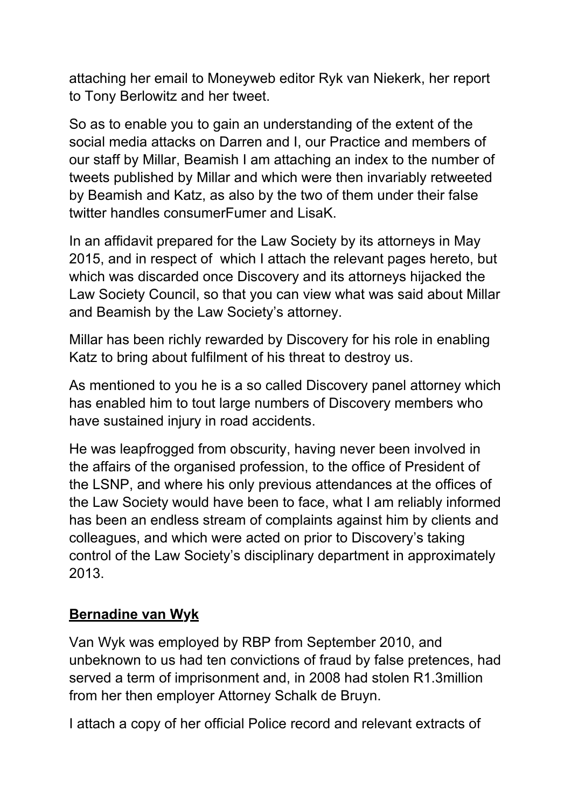attaching her email to Moneyweb editor Ryk van Niekerk, her report to Tony Berlowitz and her tweet.

So as to enable you to gain an understanding of the extent of the social media attacks on Darren and I, our Practice and members of our staff by Millar, Beamish I am attaching an index to the number of tweets published by Millar and which were then invariably retweeted by Beamish and Katz, as also by the two of them under their false twitter handles consumerFumer and LisaK.

In an affidavit prepared for the Law Society by its attorneys in May 2015, and in respect of which I attach the relevant pages hereto, but which was discarded once Discovery and its attorneys hijacked the Law Society Council, so that you can view what was said about Millar and Beamish by the Law Society's attorney.

Millar has been richly rewarded by Discovery for his role in enabling Katz to bring about fulfilment of his threat to destroy us.

As mentioned to you he is a so called Discovery panel attorney which has enabled him to tout large numbers of Discovery members who have sustained injury in road accidents.

He was leapfrogged from obscurity, having never been involved in the affairs of the organised profession, to the office of President of the LSNP, and where his only previous attendances at the offices of the Law Society would have been to face, what I am reliably informed has been an endless stream of complaints against him by clients and colleagues, and which were acted on prior to Discovery's taking control of the Law Society's disciplinary department in approximately 2013.

#### **Bernadine van Wyk**

Van Wyk was employed by RBP from September 2010, and unbeknown to us had ten convictions of fraud by false pretences, had served a term of imprisonment and, in 2008 had stolen R1.3million from her then employer Attorney Schalk de Bruyn.

I attach a copy of her official Police record and relevant extracts of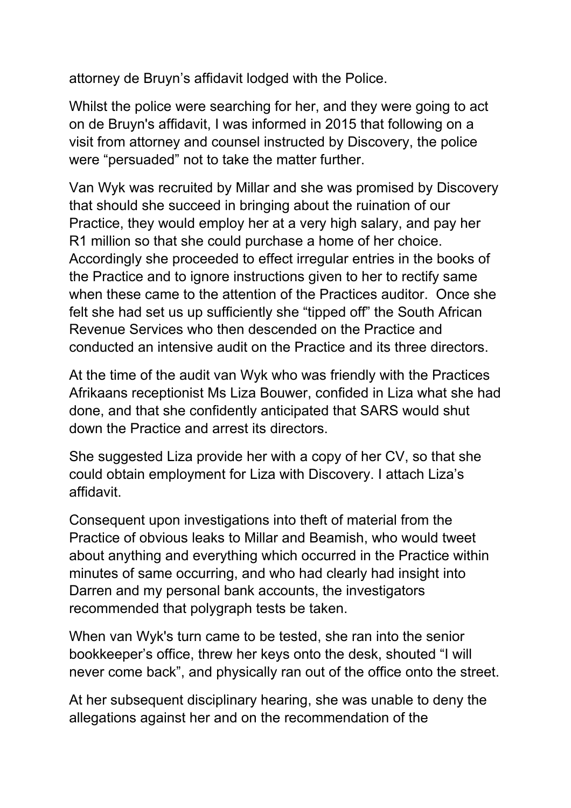attorney de Bruyn's affidavit lodged with the Police.

Whilst the police were searching for her, and they were going to act on de Bruyn's affidavit, I was informed in 2015 that following on a visit from attorney and counsel instructed by Discovery, the police were "persuaded" not to take the matter further.

Van Wyk was recruited by Millar and she was promised by Discovery that should she succeed in bringing about the ruination of our Practice, they would employ her at a very high salary, and pay her R1 million so that she could purchase a home of her choice. Accordingly she proceeded to effect irregular entries in the books of the Practice and to ignore instructions given to her to rectify same when these came to the attention of the Practices auditor. Once she felt she had set us up sufficiently she "tipped off" the South African Revenue Services who then descended on the Practice and conducted an intensive audit on the Practice and its three directors.

At the time of the audit van Wyk who was friendly with the Practices Afrikaans receptionist Ms Liza Bouwer, confided in Liza what she had done, and that she confidently anticipated that SARS would shut down the Practice and arrest its directors.

She suggested Liza provide her with a copy of her CV, so that she could obtain employment for Liza with Discovery. I attach Liza's affidavit.

Consequent upon investigations into theft of material from the Practice of obvious leaks to Millar and Beamish, who would tweet about anything and everything which occurred in the Practice within minutes of same occurring, and who had clearly had insight into Darren and my personal bank accounts, the investigators recommended that polygraph tests be taken.

When van Wyk's turn came to be tested, she ran into the senior bookkeeper's office, threw her keys onto the desk, shouted "I will never come back", and physically ran out of the office onto the street.

At her subsequent disciplinary hearing, she was unable to deny the allegations against her and on the recommendation of the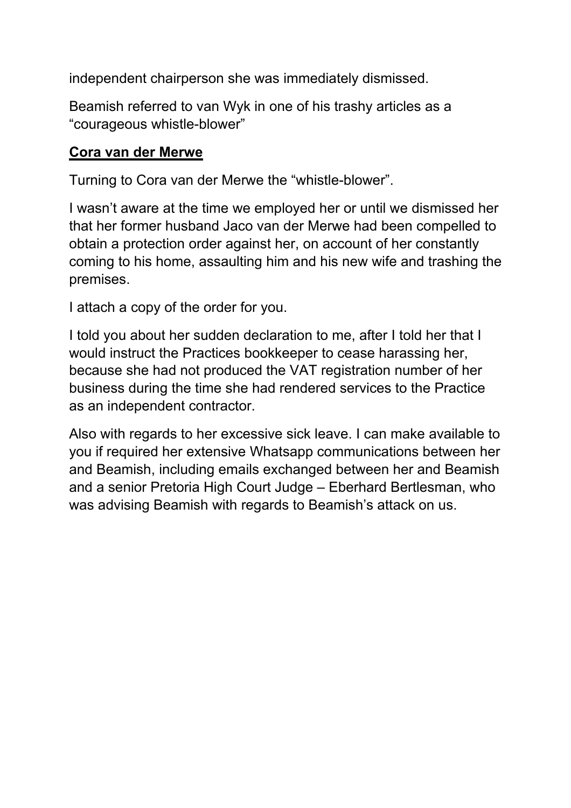independent chairperson she was immediately dismissed.

Beamish referred to van Wyk in one of his trashy articles as a "courageous whistle-blower"

#### **Cora van der Merwe**

Turning to Cora van der Merwe the "whistle-blower".

I wasn't aware at the time we employed her or until we dismissed her that her former husband Jaco van der Merwe had been compelled to obtain a protection order against her, on account of her constantly coming to his home, assaulting him and his new wife and trashing the premises.

I attach a copy of the order for you.

I told you about her sudden declaration to me, after I told her that I would instruct the Practices bookkeeper to cease harassing her, because she had not produced the VAT registration number of her business during the time she had rendered services to the Practice as an independent contractor.

Also with regards to her excessive sick leave. I can make available to you if required her extensive Whatsapp communications between her and Beamish, including emails exchanged between her and Beamish and a senior Pretoria High Court Judge – Eberhard Bertlesman, who was advising Beamish with regards to Beamish's attack on us.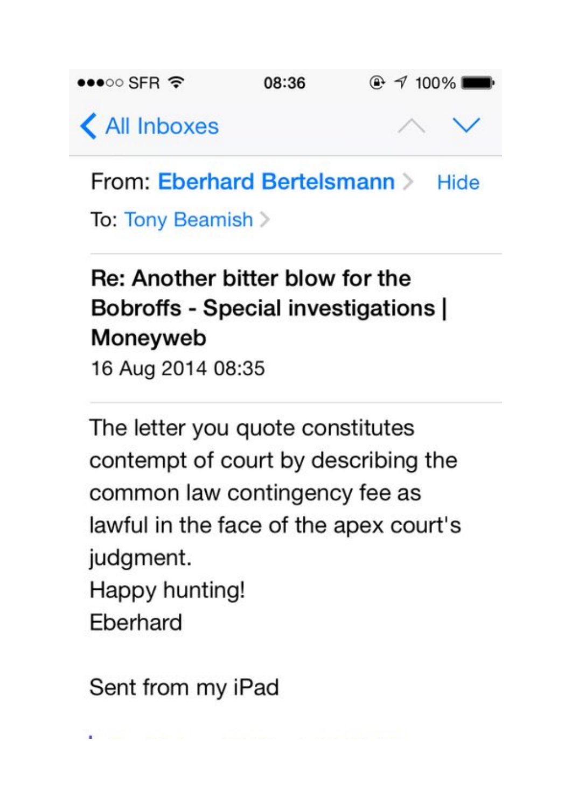

From: Eberhard Bertelsmann > Hide

To: Tony Beamish >

# Re: Another bitter blow for the Bobroffs - Special investigations | Moneyweb 16 Aug 2014 08:35

The letter you quote constitutes contempt of court by describing the common law contingency fee as lawful in the face of the apex court's judgment. Happy hunting! Eberhard

Sent from my iPad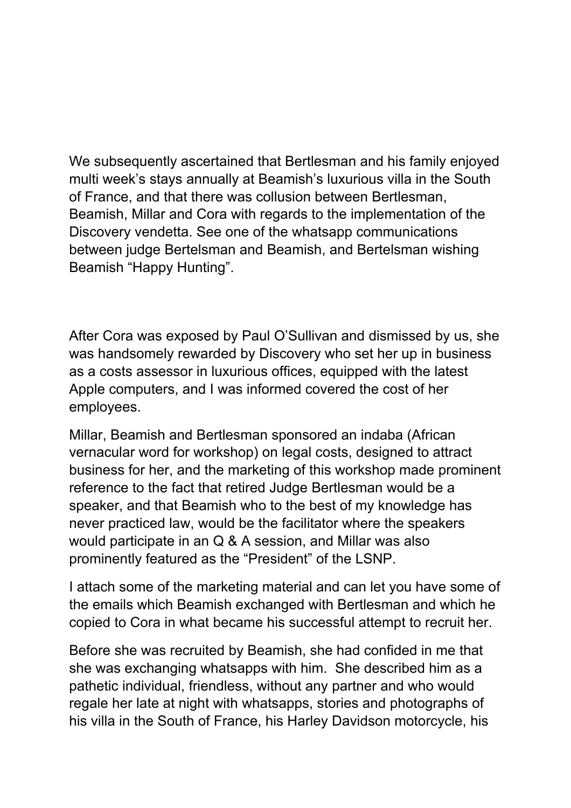We subsequently ascertained that Bertlesman and his family enjoyed multi week's stays annually at Beamish's luxurious villa in the South of France, and that there was collusion between Bertlesman, Beamish, Millar and Cora with regards to the implementation of the Discovery vendetta. See one of the whatsapp communications between judge Bertelsman and Beamish, and Bertelsman wishing Beamish "Happy Hunting".

After Cora was exposed by Paul O'Sullivan and dismissed by us, she was handsomely rewarded by Discovery who set her up in business as a costs assessor in luxurious offices, equipped with the latest Apple computers, and I was informed covered the cost of her employees.

Millar, Beamish and Bertlesman sponsored an indaba (African vernacular word for workshop) on legal costs, designed to attract business for her, and the marketing of this workshop made prominent reference to the fact that retired Judge Bertlesman would be a speaker, and that Beamish who to the best of my knowledge has never practiced law, would be the facilitator where the speakers would participate in an Q & A session, and Millar was also prominently featured as the "President" of the LSNP.

I attach some of the marketing material and can let you have some of the emails which Beamish exchanged with Bertlesman and which he copied to Cora in what became his successful attempt to recruit her.

Before she was recruited by Beamish, she had confided in me that she was exchanging whatsapps with him. She described him as a pathetic individual, friendless, without any partner and who would regale her late at night with whatsapps, stories and photographs of his villa in the South of France, his Harley Davidson motorcycle, his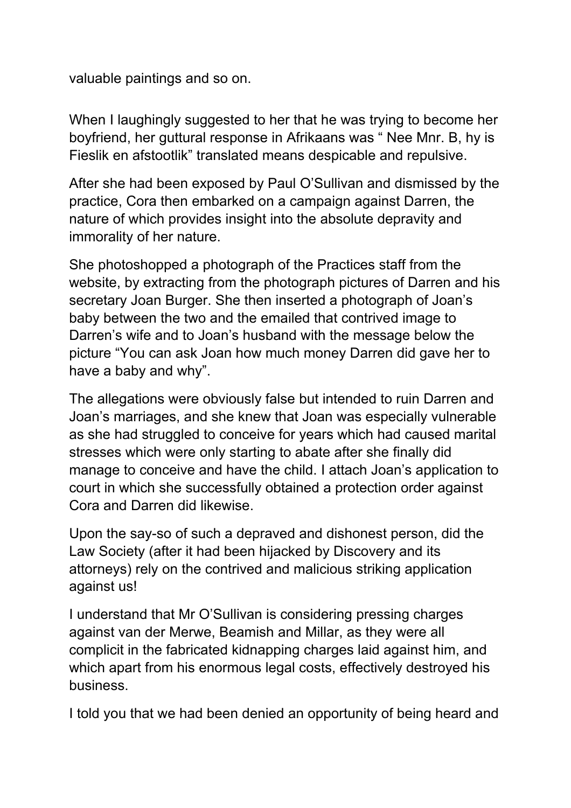valuable paintings and so on.

When I laughingly suggested to her that he was trying to become her boyfriend, her guttural response in Afrikaans was " Nee Mnr. B, hy is Fieslik en afstootlik" translated means despicable and repulsive.

After she had been exposed by Paul O'Sullivan and dismissed by the practice, Cora then embarked on a campaign against Darren, the nature of which provides insight into the absolute depravity and immorality of her nature.

She photoshopped a photograph of the Practices staff from the website, by extracting from the photograph pictures of Darren and his secretary Joan Burger. She then inserted a photograph of Joan's baby between the two and the emailed that contrived image to Darren's wife and to Joan's husband with the message below the picture "You can ask Joan how much money Darren did gave her to have a baby and why".

The allegations were obviously false but intended to ruin Darren and Joan's marriages, and she knew that Joan was especially vulnerable as she had struggled to conceive for years which had caused marital stresses which were only starting to abate after she finally did manage to conceive and have the child. I attach Joan's application to court in which she successfully obtained a protection order against Cora and Darren did likewise.

Upon the say-so of such a depraved and dishonest person, did the Law Society (after it had been hijacked by Discovery and its attorneys) rely on the contrived and malicious striking application against us!

I understand that Mr O'Sullivan is considering pressing charges against van der Merwe, Beamish and Millar, as they were all complicit in the fabricated kidnapping charges laid against him, and which apart from his enormous legal costs, effectively destroyed his business.

I told you that we had been denied an opportunity of being heard and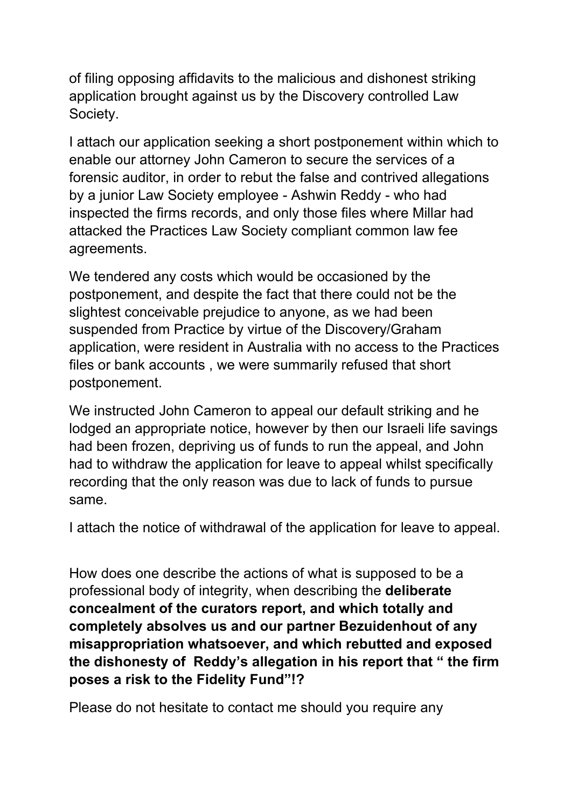of filing opposing affidavits to the malicious and dishonest striking application brought against us by the Discovery controlled Law Society.

I attach our application seeking a short postponement within which to enable our attorney John Cameron to secure the services of a forensic auditor, in order to rebut the false and contrived allegations by a junior Law Society employee - Ashwin Reddy - who had inspected the firms records, and only those files where Millar had attacked the Practices Law Society compliant common law fee agreements.

We tendered any costs which would be occasioned by the postponement, and despite the fact that there could not be the slightest conceivable prejudice to anyone, as we had been suspended from Practice by virtue of the Discovery/Graham application, were resident in Australia with no access to the Practices files or bank accounts , we were summarily refused that short postponement.

We instructed John Cameron to appeal our default striking and he lodged an appropriate notice, however by then our Israeli life savings had been frozen, depriving us of funds to run the appeal, and John had to withdraw the application for leave to appeal whilst specifically recording that the only reason was due to lack of funds to pursue same.

I attach the notice of withdrawal of the application for leave to appeal.

How does one describe the actions of what is supposed to be a professional body of integrity, when describing the **deliberate concealment of the curators report, and which totally and completely absolves us and our partner Bezuidenhout of any misappropriation whatsoever, and which rebutted and exposed the dishonesty of Reddy's allegation in his report that " the firm poses a risk to the Fidelity Fund"!?**

Please do not hesitate to contact me should you require any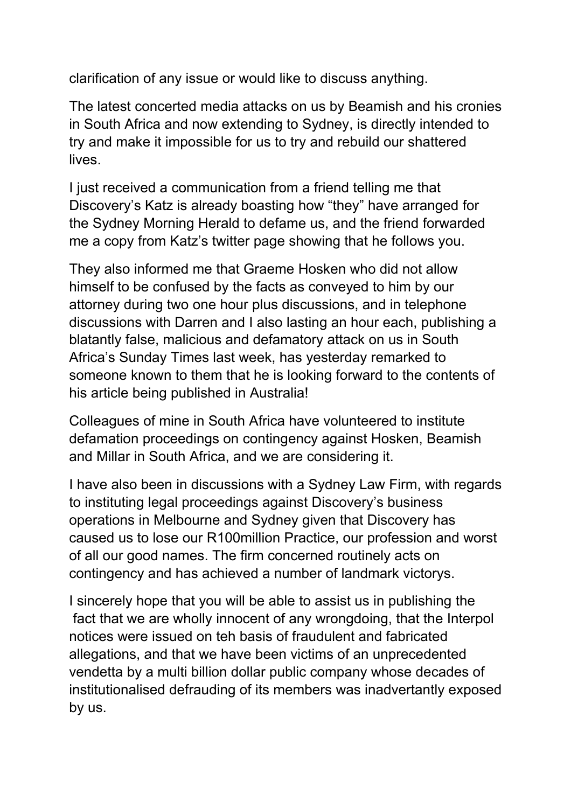clarification of any issue or would like to discuss anything.

The latest concerted media attacks on us by Beamish and his cronies in South Africa and now extending to Sydney, is directly intended to try and make it impossible for us to try and rebuild our shattered lives.

I just received a communication from a friend telling me that Discovery's Katz is already boasting how "they" have arranged for the Sydney Morning Herald to defame us, and the friend forwarded me a copy from Katz's twitter page showing that he follows you.

They also informed me that Graeme Hosken who did not allow himself to be confused by the facts as conveyed to him by our attorney during two one hour plus discussions, and in telephone discussions with Darren and I also lasting an hour each, publishing a blatantly false, malicious and defamatory attack on us in South Africa's Sunday Times last week, has yesterday remarked to someone known to them that he is looking forward to the contents of his article being published in Australia!

Colleagues of mine in South Africa have volunteered to institute defamation proceedings on contingency against Hosken, Beamish and Millar in South Africa, and we are considering it.

I have also been in discussions with a Sydney Law Firm, with regards to instituting legal proceedings against Discovery's business operations in Melbourne and Sydney given that Discovery has caused us to lose our R100million Practice, our profession and worst of all our good names. The firm concerned routinely acts on contingency and has achieved a number of landmark victorys.

I sincerely hope that you will be able to assist us in publishing the fact that we are wholly innocent of any wrongdoing, that the Interpol notices were issued on teh basis of fraudulent and fabricated allegations, and that we have been victims of an unprecedented vendetta by a multi billion dollar public company whose decades of institutionalised defrauding of its members was inadvertantly exposed by us.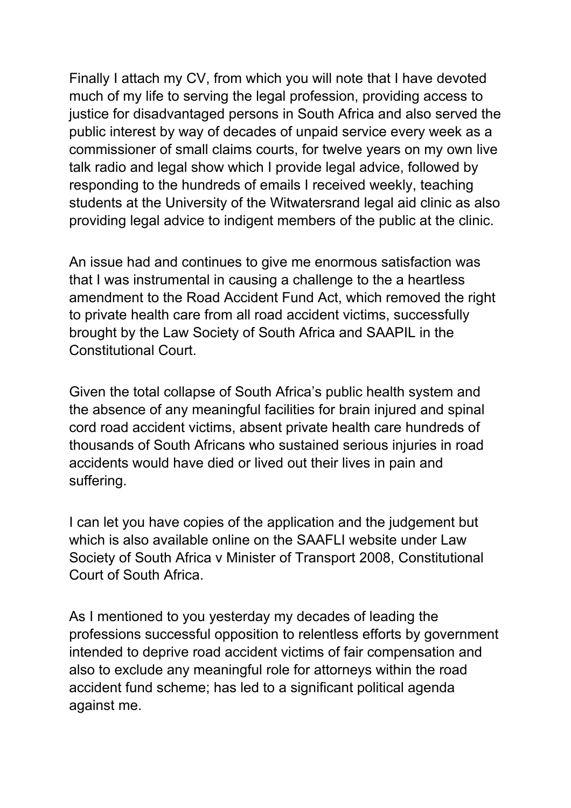Finally I attach my CV, from which you will note that I have devoted much of my life to serving the legal profession, providing access to justice for disadvantaged persons in South Africa and also served the public interest by way of decades of unpaid service every week as a commissioner of small claims courts, for twelve years on my own live talk radio and legal show which I provide legal advice, followed by responding to the hundreds of emails I received weekly, teaching students at the University of the Witwatersrand legal aid clinic as also providing legal advice to indigent members of the public at the clinic.

An issue had and continues to give me enormous satisfaction was that I was instrumental in causing a challenge to the a heartless amendment to the Road Accident Fund Act, which removed the right to private health care from all road accident victims, successfully brought by the Law Society of South Africa and SAAPIL in the Constitutional Court.

Given the total collapse of South Africa's public health system and the absence of any meaningful facilities for brain injured and spinal cord road accident victims, absent private health care hundreds of thousands of South Africans who sustained serious injuries in road accidents would have died or lived out their lives in pain and suffering.

I can let you have copies of the application and the judgement but which is also available online on the SAAFLI website under Law Society of South Africa v Minister of Transport 2008, Constitutional Court of South Africa.

As I mentioned to you yesterday my decades of leading the professions successful opposition to relentless efforts by government intended to deprive road accident victims of fair compensation and also to exclude any meaningful role for attorneys within the road accident fund scheme; has led to a significant political agenda against me.